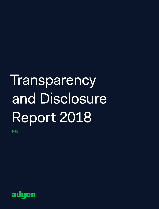# **Transparency** and Disclosure Report 2018

Pillar III

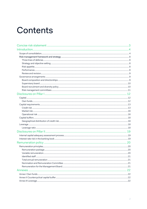## Contents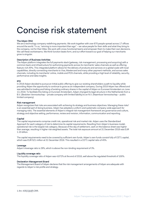## Concise risk statement

#### The Adyen DNA

We are a technology company redefining payments. We work together with over 870 people spread across 17 offices around the world. To us, "winning is more important than ego" – we value people for their skills and what they bring to the company, not for their titles. We work with cross-functional teams and empower them to make their own decisions. We call these workstreams. We think function beats form, and our effort toward our goal of helping our merchants grow is singular.

#### Description of Business Activities

The Adyen platform integrates the full payments stack (gateway, risk management, processing and acquiring) with a common back-end infrastructure for authorizing payments across its merchants' sales channels as well as offering feature-rich APIs. This integrated platform allows for the delivery of products and services on a global scale with local capabilities, directly connecting merchants to Visa, Mastercard and many other payment methods, and across sales channels, including its merchants' online, mobile and POS channels, while providing a high level of reliability, security, performance and data insights.

#### IPO

In 2018 Adyen decided to pursue an Initial public offering to give our existing shareholders a path to liquidity while providing Adyen the opportunity to continue to grow as an independent company. During 2018 Adyen has offered and was admitted to trading and listing of existing ordinary shares in the capital of Adyen on Euronext Amsterdam on June 13, 2018. To facilitate this listing on Euronext Amsterdam, Adyen changed its legal structure in the Netherlands from a B.V. (Besloten Vennootschap – private company with limited liability) to an N.V. (Naamloze Vennootschap – public limited company).

#### Risk management

Adyen recognizes that risks are associated with achieving its strategy and business objectives. Managing these risks<sup>1</sup> is an essential part of doing business. Adyen has adopted a uniform and systematic company-wide approach for managing risks. The essential elements of Adyen's integral risk management framework are governance and culture, strategy and objective setting, performance, review and revision, information, communication and reporting.

#### Capital

The capital requirements comprise credit risk, operational risk and market risk. Adyen uses the Standardized Approach for each category of risk to determine its capital requirements. Resulting from Adyen's business model, operational risk is the largest risk category. Because of the day of settlement, cash on the balance sheet was higher than average, resulting in higher risk weighted assets. The total risk exposure amount at 31 December 2018 was EUR 1.15 billion.

The capital requirements need to be covered by sufficient own funds. Adyen's own funds consist fully of CET1 capital, which was EUR 521 million at 31 December 2018. This resulted in a CET1 capital ratio of 45%.

#### Leverage

Adyen's leverage ratio is 28%, which is above the non-binding requirement of 3%.

#### Liquidity coverage ratio

The liquidity coverage ratio of Adyen was 4,672% at the end of 2018, well above the regulated threshold of 100%.

#### Declaration Management Board

The Management Board of Adyen declares that the risk management arrangements of Adyen are adequate with regards to Adyen's risk profile and strategy.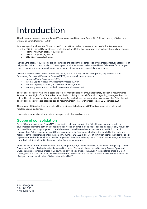## Introduction

This document presents the consolidated Transparency and Disclosure Report 2018 (Pillar III report) of Adyen N.V. (Adyen) as per 31 December 2018.<sup>2</sup>

As a less significant institution<sup>3</sup> based in the European Union, Adyen operates under the Capital Requirements Directive IV (CRD IV) and Capital Requirements Regulation (CRR). This framework is based on a three-pillars concept:

- Pillar I Minimum capital requirements
- Pillar II Supervisory review
- Pillar III Market disclosures

In Pillar I, the capital requirements are calculated on the basis of three categories of risk that an institution faces: credit risk, market risk and operational risk. These capital requirements need to be covered by sufficient own funds. Adyen uses the standardized approach for each category of risk to determine its capital requirements.

In Pillar II, the supervisor reviews the viability of Adyen and its ability to meet the reporting requirements. This Supervisory Review and Evaluation Process (SREP) comprises four components:

- Business Model Assessment (BMA)
- Internal Capital Adequacy Assessment Process (ICAAP)
- Internal Liquidity Adequacy Assessment Process (ILAAP)
- Internal governance and institution-wide control assessment

The Pillar III disclosure framework seeks to promote market discipline through regulatory disclosure requirements. Pursuant to Part Eight of the CRR, Adyen is required to publicly disclose information regarding, amongst others, its risk profile, risk management and capital adequacy. Adyen discloses this information by means of this Pillar III report. The Pillar III disclosures are based on capital requirements in Pillar I with reference date 31 December 2018.

The content of this pillar III report meets all the requirements laid down in CRR and corresponding delegated regulations and guidelines.

Unless stated otherwise, all amounts in the report are in thousands of euros.

### **Scope of consolidation**

As an EU parent institution, Adven N.V. is required to publish a consolidated Pillar III report. Adven reports its prudential requirements both on a consolidated as well as on a stand-alone basis. Its subsidiaries are only included in its consolidated reporting. Adyen's prudential scope of consolidation does not deviate from its IFRS scope of consolidation. Adyen N.V. is a licensed Credit Institution by De Nederlandsche Bank (the Dutch Central Bank) and registered in the Netherlands under the company number 34259528. The Credit Institution license includes the ability to provide cross-border services in the EEA. Adyen N.V. directly or indirectly owns 100% of the shares of, and therefore controls all entities included in the consolidated financial statements.

Adyen has operations in the Netherlands, Brazil, Singapore, UK, Canada, Australia, South Korea, Hong Kong, Mexico, China, New Zealand, Malaysia, India, Japan and the United States, with branches in Germany, France, Spain and Sweden and representative offices in Belgium and Italy. The address of the Adyen N.V. registered office is Simon Carmiggeltstraat 6 -50, 5th floor, 1011DJ Amsterdam, the Netherlands. Table 1 provides an overview of all branches of Adyen N.V. and subsidiaries of Adyen International B.V.4

<sup>2</sup> Art. 436(a) CRR.

<sup>3</sup> Art. 441 CRR. 4 Art. 436(b) CRR.

Adyen Transparency and Disclosure Report 2018 | Page 4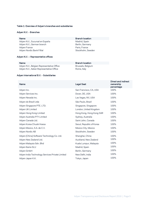#### Table 1: Overview of Adyen's branches and subsidiaries

#### Adyen N.V. - Branches

Name Branch location and the Branch location Adyen N.V., Sucursal en España Madrid, Spain Adyen N.V., German branch Berlin, Germany Adyen France **Paris, France** Adyen Nordic Bank Fillial Stockholm, Sweden

#### Adyen N.V. – Representative offices

Adyen N.V., Belgian Representative Office Brussels, Belgium Adyen N.V., Italian Representative Office **Rome, Italy** 

#### Name Branch location

#### Adyen International B.V. - Subsidiaries

| Name                                            | <b>Legal Seat</b>        | Direct and indirect<br>ownership<br>percentage |
|-------------------------------------------------|--------------------------|------------------------------------------------|
| Adyen Inc.                                      | San Francisco, CA, USA   | 100%                                           |
| Adyen Services Inc.                             | Dover, DE, USA           | 100%                                           |
| Adyen Nevada Inc.                               | Las Vegas, NV, USA       | 100%                                           |
| Adyen do Brazil Ltda                            | São Paulo, Brazil        | 100%                                           |
| Adyen Singapore PTE. LTD.                       | Singapore, Singapore     | 100%                                           |
| Adyen UK Limited                                | London, United Kingdom   | 100%                                           |
| Adyen Hong Kong Limited                         | Hong Kong, Hong Kong SAR | 100%                                           |
| Adyen Australia PTY Limited                     | Sydney, Australia        | 100%                                           |
| Adyen Canada Ltd.                               | Saint John, Canada       | 100%                                           |
| Adyen Korea Chusik Hoesa                        | Seoul, Republic of Korea | 100%                                           |
| Adyen Mexico, S.A. de C.V.                      | Mexico City, Mexico      | 100%                                           |
| Adyen Nordic AB                                 | Stockholm, Sweden        | 100%                                           |
| Adyen (China) Software Technology Co. Ltd.      | Shanghai, China          | 100%                                           |
| Adyen New Zealand Ltd.                          | Auckland, New Zealand    | 100%                                           |
| Adyen Malaysia Sdn. Bhd                         | Kuala Lumpur, Malaysia   | 100%                                           |
| Adyen Iberia SLU                                | Madrid, Spain            | 100%                                           |
| Adyen GmbH                                      | Berlin, Germany          | 100%                                           |
| Adyen India Technology Services Private Limited | New Delhi, India         | 100%                                           |
| Adyen Japan K.K.                                | Tokyo, Japan             | 100%                                           |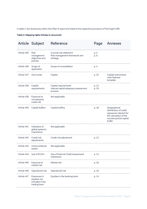In table 2, the disclosures within this Pillar III report are linked to the respective provisions of Part Eight CRR.

Table 2: Mapping table Articles to document

|             | Article Subject                                                 | Reference                                                               | Page           | Annexes                                                                                                                         |
|-------------|-----------------------------------------------------------------|-------------------------------------------------------------------------|----------------|---------------------------------------------------------------------------------------------------------------------------------|
| Article 435 | <b>Risk</b><br>management<br>objectives and<br>policies         | Concise risk statement<br>Risk management framework and<br>strategy     | p. 3<br>p. 8   |                                                                                                                                 |
| Article 436 | Scope of<br>application                                         | Scope of consolidation                                                  | p. 4           |                                                                                                                                 |
| Article 437 | Own funds                                                       | Capital                                                                 | p. 22          | Capital instruments<br>main features<br>template                                                                                |
| Article 438 | Capital<br>requirements                                         | Capital requirements<br>Internal capital adequacy assessment<br>process | p. 13<br>p. 19 |                                                                                                                                 |
| Article 439 | Exposure to<br>counterparty<br>credit risk                      | Not applicable                                                          |                |                                                                                                                                 |
| Article 440 | Capital buffers                                                 | Capital buffers                                                         | p. 18          | Geographical<br>distribution of credit<br>exposures relevant for<br>the calculation of the<br>countercyclical capital<br>buffer |
| Article 441 | Indicators of<br>global systemic<br>importance                  | Not applicable                                                          |                |                                                                                                                                 |
| Article 442 | Credit risk<br>adjustments                                      | Credit risk adjustment                                                  | p. 13          |                                                                                                                                 |
| Article 443 | Unencumbered<br>assets                                          | Not applicable                                                          |                |                                                                                                                                 |
| Article 444 | Use of ECAI's                                                   | Use of External Credit Assessment<br>Institutions                       | p. 13          |                                                                                                                                 |
| Article 445 | Exposure to<br>market risk                                      | Market risk                                                             | p. 16          |                                                                                                                                 |
| Article 446 | Operational risk                                                | Operational risk                                                        | p. 16          |                                                                                                                                 |
| Article 447 | Exposures in<br>equities not<br>included in the<br>trading book | Equities in the banking book                                            | p. 14          |                                                                                                                                 |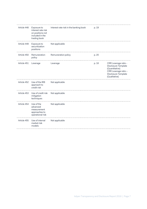| Article 448 | Exposure to<br>interest rate risk<br>on positions not<br>included in the<br>trading book | Interest rate risk in the banking book | p. 19 |                                                                                                                               |
|-------------|------------------------------------------------------------------------------------------|----------------------------------------|-------|-------------------------------------------------------------------------------------------------------------------------------|
| Article 449 | Exposure to<br>securitization<br>positions                                               | Not applicable                         |       |                                                                                                                               |
| Article 450 | Remuneration<br>policy                                                                   | Remuneration policy                    | p. 20 |                                                                                                                               |
| Article 451 | Leverage                                                                                 | Leverage                               | p. 18 | CRR Leverage ratio -<br>Disclosure Template<br>(Quantitative)<br>CRR Leverage ratio -<br>Disclosure Template<br>(Qualitative) |
| Article 452 | Use of the IRB<br>approach to<br>credit risk                                             | Not applicable                         |       |                                                                                                                               |
| Article 453 | Use of credit risk<br>mitigation<br>techniques                                           | Not applicable                         |       |                                                                                                                               |
| Article 454 | Use of the<br>advanced<br>measurement<br>approaches to<br>operational risk               | Not applicable                         |       |                                                                                                                               |
| Article 455 | Use of internal<br>market risk<br>models                                                 | Not applicable                         |       |                                                                                                                               |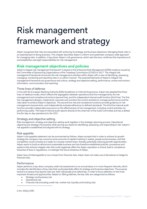## Risk management framework and strategy

Adyen recognizes that risks are associated with achieving its strategy and business objectives. Managing these risks is an essential part of doing business. This chapter describes Adyen's uniform and systematic company-wide approach for managing risks. In addition, it lays down Adyen's risk governance, which sets the tone, reinforces the importance of, and establishes oversight responsibilities for risk management.

### **Risk management objectives and policies**

Adyen's integral risk management framework<sup>5</sup> is based on the Enterprise Risk Management (ERM) model as issued by the Committee of Sponsoring Organizations of the Treadway Commission (COSO) in 2017. The integral risk management framework structures the risk management activities within Adyen with a view of identifying, assessing, managing, monitoring and reporting risks in a uniform manner. The essential elements of Adyen's integral risk management framework are governance and culture, strategy and objective setting, performance, review and revision, information, communication and reporting.

#### Three lines of defense

In line with the European Banking Authority (EBA) Guidelines on Internal Governance, Adyen has adopted the threelines-of-defense model, which reflects the segregation between operations (first line management), the risk management and compliance functions (second line), and the independent internal audit function (third line). The first line management designs, implements, executes and monitors the control activities to manage performance and the risks taken to achieve Adyen's objectives. The second line risk and compliance functions provide guidance on risk management requirements, and independently evaluate adherence to defined standards. The third line internal audit function provides independent assurance on the effectiveness of risk management, including control activities, by performing audits. The head of internal audit reports directly to the chairman of the Audit Committee and has a dotted line (for day-to-day operations) to the CEO.

#### Strategy and objective setting

Risk management, strategy and objective-setting work together in the strategic-planning process. Operational objectives put strategy into practice while serving as a basis for identifying, assessing, and responding to risk. Adyen's risk appetite is established and aligned with its strategy.

#### Risk appetite

Adyen's risk appetite statement can be summarized as follows. Adyen accepts that in order to achieve its growth strategy the company may consume some amounts of capital investing in assets, people and processes, and that competition could increase as it seeks to increase market share, thereby potentially reducing growth opportunities. Adyen wants to build an ethical and sustainable business and has therefore established policies, procedures and systems that actively mitigate risks that could negatively affect the Adyen reputation or brand, lead to compliance breaches of laws or regulations, or endanger the future existence of Adyen.

Adyen has a limited appetite to incur losses from financial risks. Adyen does not make use of derivatives to hedge its financial risks.

#### Performance

Adyen performs a top-down company-wide risk assessment on an annual basis or in more frequent intervals, which includes the identification of key risks that could potentially affect its strategy and business objectives. The purpose hereof is to assess how big the risks are, both individually and collectively, in order to focus attention on the most important threats and opportunities. Based on EBA guidelines, the key risks are categorized as follows:

- Strategic and business risk
- Operational risk
- Financial risk (including credit risk, market risk, liquidity and funding risk)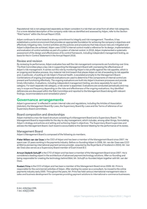Reputational risk is not categorized separately as Adyen considers it a risk that can arise from all other risk categories. For a more detailed description of the company-wide risks as identified and assessed by Adyen, refer to the Section "Risk Factors" within the Annual Report 2018.

Adyen continues to strive towards a strong commitment to integrity and risk management. Therefore, it has established a control environment that provides an appropriate foundation for achieving the company's objectives and effectively mitigating risks. Control activities are the policies and procedures that help ensure risks are mitigated and Adyen's objectives are achieved. Adyen uses COSO's internal control model a reference for its design, implementation and evaluation of control activities as part of a system of internal control. In 2018, Adyen implemented a systematic assessment of the design and effectiveness of its control framework, including independent management testing, as basis for the In-Control Statement in the Annual Report 2018.

#### Review and revision

By reviewing its performance, Adyen evaluates how well the risk management components are functioning over time. The Risk Committee plays a key role in supporting the Management Board with overseeing the effectiveness of Adyen's risk management. It carries out this role by monitoring Adyen's risk profile against the risk appetite, which is an ongoing and iterative process. Any material risk limit breach that places Adyen at risk of exceeding its risk appetite and, in particular, of putting at risk Adyen's financial health, is escalated promptly to the Management Board. Combinations of ongoing and separate evaluations are used to determine if the components of internal control are present and functioning effectively. The ongoing evaluations are built into Adyen's business processes and provide timely information. Evaluations, including independent management testing, are done separately for each risk category. For each separate risk category, a risk owner is appointed. Evaluations are conducted periodically and may vary in scope and frequency depending on the risks and effectiveness of the ongoing evaluations. Any identified deficiencies are discussed within the Risk Committee and reported to the Management Board along with relevant findings, recommendations and remediation plans.6

#### **Governance arrangements**

Adyen's governance<sup>7</sup> is reflected in certain internal rules and regulations, including the Articles of Association (statuten), the Management Board By-Laws, the Supervisory Board By-Laws and the Terms of reference of our Supervisory Board committees.

#### Board composition and directorships

Adyen maintains a two-tier board structure consisting of a Management Board and a Supervisory Board. The Management Board is responsible for the day-to-day management, which includes, among other things, formulating Adyen's strategy and policies and setting and achieving Adyen's objectives. The Supervisory Board supervises and advises the Management Board. Each board is accountable to the General Meeting for the performance of its duties.

#### Management Board

Adyen's Management Board is composed of the following six members.

Pieter Willem van der Does is the CEO of Adyen and has been a member of the Management Board since 2007. He spent over 15 years working in the payments industry. Before co-founding Adyen in 2006, Mr. van der Does was CCO at Bibit (a pioneering international payment service provider, acquired by the Royal Bank of Scotland in 2004). Mr. Van der Does also serves as a Supervisory Board member of Écart Invest B.V.

Arnout Diederik Schuijff is the CTO of Adyen and has been a member of the Management Board since 2007. He is considered a leading expert in the architecture of advanced payment technology solutions. After co-founding and being responsible for creating the technology behind Bibit, Mr. Schuijff co-founded Adyen together with Mr. van der Does.

Roelant Prins is the CCO of Adyen and has been a member of the Management Board since 2009. Mr. Prins is responsible for the commercial activities of Adyen. After starting his career as a consultant, he moved to the online payments industry early 2000. Throughout the years, Mr. Prins has held various international management roles in sales and business development for companies providing payment solutions to international e-commerce businesses.

6 Art. 435(2)(e) CRR.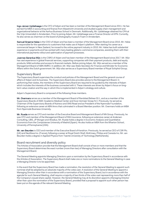Ingo Jeroen Uytdehaage is the CFO of Adyen and has been a member of the Management Board since 2011. He has earned his MBA in accounting and finance from Maastricht University and studied supply chain management and organizational behavior at the Aarhus Business School in Denmark. Additionally, Mr. Uytdehaage obtained his CPA at the Vrije Universiteit in Amsterdam. Prior to joining Adyen, Mr. Uytdehaage was a Finance Director at KPN. Currently, he also serves as chairman on the board of photography museum Foam in Amsterdam.

Samuel Graeme Halse is the COO of Adyen and has been a member of the Management Board since 2015. Mr. Halse is responsible for the operations to customers that make use of Adyen's platform. After starting his career as a commercial lawyer in New Zealand, he moved to the online payment industry in 2010. Mr. Halse has built substantial experience in payments and has worked with many leading global e-commerce companies, assisting them with their international payments rollout and optimization of payment processes.

Joannes Gerardus Wijn is the CSRO of Adyen and has been member of the Management Board since 2017. Mr. Wijn has vast experience in global financial services, supporting companies with their payment products, debt and equity products, M&A activities and access to financial markets. Before joining Adyen, Mr. Wijn served as a member of the Management Board of ABN AMRO. In addition, Mr. Wijn was State Secretary for Finance and Minister for Economic Affairs within the Dutch government. Mr. Wijn also serves as a Supervisory Board member of Royal Schiphol Group.

#### Supervisory Board

The Supervisory Board supervises the conduct and policies of the Management Board and the general course of affairs of Adyen and its business. The Supervisory Board also provides advice to the Management Board. In performing their duties, the members of the Supervisory Board are required to be guided by the interests of Adyen which includes the interests of the business connected with it. These interests are driven by Adyen's focus on longterm value creation and the way in which this is implemented in Adyen's strategy and culture.

Adyen's Supervisory Board is composed of the following three members.

Mr. Overmars serves as a member of the Management Board of Randstad Beheer B.V., and as a member of the Supervisory Boards of AMC Academic Medical Center and Dura Vermeer Groep N.V. Previously, he served as Chairman of the Supervisory Boards of Nutreco and SNS Reaal and as President of the Nyenrode Foundation, following an extensive career at ABN Amro that culminated in a Board Member position. Mr. Overmars holds an MBA from Nyenrode Business University.

Mr. Rueda serves as CFO and member of the Executive Board and Management Board of NN Group. Previously, he was CFO and member of the Management Board of ING Insurance, following an extensive career at Andersen Consulting, UBS, JP Morgan and Atradius. Mr. Rueda holds a degree in Economic Analysis and Quantitative Economics from the Complutense University of Madrid (Spain). He also holds an MBA from the Wharton School, University of Pennsylvania (USA).

Mr. van Beurden is CEO and member of the Executive Board of Kendrion. Previously, he served as CEO of CSR Plc. (UK) and NexWave Inc. (France), following a career at Royal Dutch Shell, McKinsey, Philips and Canesta Inc. Mr. van Beurden holds a degree in Applied Physics from Twente University of Technology (Netherlands).

#### Board recruitment and diversity policy

The Articles of Association provide that the Management Board shall consist of two or more members and that the Supervisory Board determines the exact number (more than two) of Managing Directors after consultation with the Management Board.

The General Meeting appoints Managing Directors upon a nomination by the Supervisory Board in accordance with the Articles of Association. The Supervisory Board shall make one or more nominations to the General Meeting in case a Managing Director is to be appointed.

In the event that the Supervisory Board has made a nomination, the resolution of the General Meeting to appoint such nominee shall be adopted by an absolute majority of the votes cast. A resolution of the General Meeting to appoint a Managing Director other than in accordance with a nomination of the Supervisory Board, but in accordance with the agenda for such General Meeting, shall require a majority of two thirds of the votes cast representing more than half of the Company's issued share capital. However, the General Meeting may at its discretion appoint a Managing Director other than upon the nomination of the Supervisory Board, provided that a proposal to appoint such other person has been put on the agenda of the relevant General Meeting.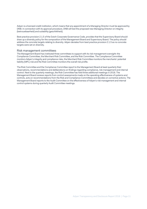Adyen is a licensed credit institution, which means that any appointment of a Managing Director must be approved by DNB. In connection with its approval procedure, DNB will test the proposed new Managing Director on integrity (betrouwbaarheid) and suitability (geschiktheid).

Best practice provision 2.1.5 of the Dutch Corporate Governance Code, provides that the Supervisory Board should draw up a diversity policy for the composition of the Management Board and Supervisory Board. The policy should address the concrete targets relating to diversity. Adyen deviates from best practice provision 2.1.5 as no concrete targets were set on diversity.

#### Risk management committees

The Management Board has instituted three committees to support with its risk management oversight: the Compliance Committee, the Merchant Risk Committee, and the Risk Committee. The Compliance Committee monitors Adyen's integrity and compliance risks, the Merchant Risk Committee monitors the merchants' potential liability (MPL) risk and the Risk Committee monitors the overall risk profile.

The Risk Committee and the Compliance Committee report to the Management Board at least quarterly their observations, recommendations and deliberations on findings regarding compliance, risk management and internal control. Next to the quarterly meetings, the Risk Committee has held three additional meetings in 2018. The Management Board reviews reports from control assessments made on the operating effectiveness of systems and controls, acts on recommendations from the Risk and Compliance Committees and decides on corrective actions. The Management Board reports to the Audit Committee on the effectiveness of Adyen's risk management and internal control systems during quarterly Audit Committee meetings.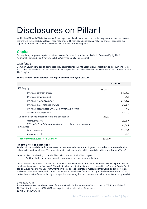## Disclosures on Pillar I

Within the CRR and CRD IV framework, Pillar I lays down the absolute minimum capital requirements in order to cover the financial risks institutions face. These risks are credit, market and operational risk. This chapter describes the capital requirements of Adyen, based on these three major risk categories.

## **Capital**

For regulatory purposes, capital<sup>8</sup> is defined as own funds, which can be subdivided in Common Equity Tier 1, Additional Tier 1 and Tier 2. Adyen solely has Common Equity Tier 1 capital.

#### Own funds

Common Equity Tier 1 capital comprises IFRS equity after taking into account prudential filters and deductions. Table 3 provides a reconciliation of own funds with IFRS capital.9 Annex I, describes the main features of this Common Equity Tier 1 capital.

#### Table 3 Reconciliation between IFRS equity and own funds (in EUR '000)

|                                                                                      | 31-Dec-18 |
|--------------------------------------------------------------------------------------|-----------|
| <b>IFRS</b> equity                                                                   | 582,404   |
| Of which: common shares                                                              | 160,209   |
| Of which: paid up capital                                                            | 296       |
| Of which: retained earnings                                                          | 357,231   |
| Of which: direct holdings of CET1                                                    | (4,804)   |
| Of which: accumulated Other Comprehensive Income                                     | 371       |
| Of which: other reserves                                                             | 69,100    |
| Adjustments due to prudential filters and deductions                                 | (61, 227) |
| Intangible assets                                                                    | (5,059)   |
| DTA that rely on future profitability and do not arise from temporary<br>differences | (1,895)   |
| Warrant reserve                                                                      | (54,219)  |
| Prudent valuation                                                                    | (54)      |
| Total Common Equity Tier 1 Capital <sup>10</sup>                                     | 521,177   |

#### Prudential filters and deductions

Prudential filters and deductions remove or reduce certain elements from Adyen's own funds that are considered not to be eligible to absorb losses. The amounts related to these prudential filters and deductions are shown in Table 3.

Adyen applies the following prudential filter to its Common Equity Tier 1 capital:

Additional value adjustments due to the requirements for prudent valuation

Institutions are required to calculate an additional value adjustment in order to adjust the fair value to a prudent value for all assets measured at fair value.<sup>11</sup> The additional value adjustment must be deducted from Common Equity Tier 1 capital. Adyen has two financial instruments on the balance sheet that are measured at fair value, and subject to an additional value adjustment, which are VISA shares and a derivative financial liability. In the first six months of 2018, part of the derivative financial liability is prospectively de-recognized and the new equity instruments are recognized at

<sup>8</sup> Art. 437(1) CRR.

<sup>9</sup> Annex I comprises the relevant rows of the 'Own funds disclosure template' as laid down in ITS (EU) 1423/2013. 10 No restrictions ex. art. 437(e) CRR were applied to the calculation of own funds.

<sup>11</sup> Art. 34 and 105 CRR.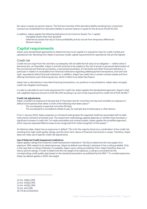fair value in equity as warrant reserve. The first two tranches of the derivative liability resulting from a merchant contract are reclassified from derivative liability to warrant reserve in equity for the amount of EUR 54,219.

In addition, Adyen applies the following deductions to its Common Equity Tier 1 capital:

- Intangible assets other than goodwill
- Deferred tax assets that rely on future profitability and do not are from temporary differences
- Warrant reserve

### **Capital requirements**

Adyen uses standardized approaches to determine how much capital it is required to have for credit, market and operational risk. Resulting from Adyen's business model, capital requirements for operational risk are the highest.

#### Credit risk

Credit risk can origin from the risk that a counterparty will not settle the full value of an obligation — neither when it becomes due, nor thereafter. Adyen is and will continue to be subject to the risk of actual or perceived deterioration of the commercial and financial soundness, or perceived soundness, of merchants and other financial institutions, in particular in relation to receivables from financial institutions regarding settled payment transactions, and cash and cash- equivalents held at financial institutions. In addition, Adyen has credit risk on certain contract assets and from offering merchants a pre-financing service, which it refers to as Sales Day Payout.

Adyen has no derivatives or securities financing transactions, nor positions in securitizations. Adyen does not apply credit risk mitigation techniques.

In order to calculate its own funds requirement for credit risk, Adyen applies the standardized approach. Adyen's total risk-weighted exposure amount is EUR 481,040 resulting in an own funds requirement for credit risk of EUR 38,483. 12

#### Credit risk adjustments

Adyen considers an exposure to be past due if it has been due for more than one day and considers an exposure in default and impaired when either or both of the following have taken place:<sup>13</sup>

- The counterparty is past due more than 90 days
- The counterparty is considered unlikely to pay, for example due to bankruptcy or other factors

From 1 January 2018, Adyen assesses on a forward-looking basis the expected credit loss associated with its debt instruments carried at amortized cost. The impairment methodology applied depends on whether there has been a significant increase in credit risk. For trade receivables and contract assets, Adyen applies the simplified approach, which requires expected lifetime losses to be recognized from initial recognition of the assets.<sup>14</sup>

At reference date, Adyen has no exposures in default. This is for the majority driven by a combination of low credit risk, resulting from high credit quality ratings, and the short-term nature of financial instruments in scope. Therefore, Adyen does not make use of specific credit risk adjustments.

#### Use of External Credit Assessment Institutions

Adyen applies ratings from External Credit Assessment Institutions<sup>15</sup> (ECAIs) to determine the risk weight of an exposure. With respect to its rated exposures, Adyen by default uses Moody's whenever it has a rating available. Only in the case that no rating of Moody's is available, Adyen uses a rating provided by Fitch. Adyen therefore does not cherry-pick its ratings. In order to determine the risk weight of an exposure, a rating is converted into the corresponding credit quality step based on the standard association as published by the EBA.16 To unrated exposures, Adyen by default applies a 100% risk weight.

 $\overline{a}$ 

14 Art. 442(b) CRR.

<sup>12</sup> Art. 438(c) CRR.

<sup>13</sup> Art. 442(a) CRR.

<sup>15</sup> Art. 444 CRR.

<sup>16</sup> ITS (EU) 2018/634.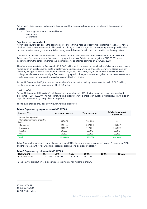Adyen uses ECAIs in order to determine the risk-weight of exposures belonging to the following three exposure classes:

- Central governments or central banks
- **Institutions**
- **Corporates**

#### Equities in the banking book

Adyen's exposure to equities in the banking book<sup>17</sup> arises from a holding of convertible preferred Visa shares. Adyen obtained these shares as the result of its previous holding in Visa Europe, which subsequently was acquired by Visa Inc., and resulted, amongst others, in Adyen being issued shares of Visa Inc. as consideration for the acquisition.

Under IAS 39, the Visa shares were classified as available-for-sale. Resulting from the implementation of IFRS 9, Adyen classifies these shares at fair value through profit and loss. Related fair value gains of EUR 20,061 were transferred from the other comprehensive income reserve to retained earnings on 1 January 2018.

The Visa shares are stated at fair value for EUR 30.3 million, which is based on the fair value of Visa Inc. common stock multiplied by an initial conversion rate of preferred stock into common stock. These shares have no stated maturity and carry the right to receive discretionary dividend payments. Over 2018, Adyen gained EUR 5.3 million on nontrading financial assets mandatorily at fair value through profit or loss, which were recognized in the income statement. Due to a restriction on transfer, the Visa shares cannot be freely traded.

As per 31 December 2018, the total exposure value of equities in the banking book amounted to EUR 30.3 million, resulting in an own funds requirement of EUR 2.4 million.

#### Credit portfolio

As per 31 December 2019, Adyen's total exposures amounted to EUR 1,855,358 resulting in total risk-weighted exposures of EUR 481,040. The majority of Adyen's exposures have a short-term duration, with residual maturities of days. Exposures relating to equities are perpetual.<sup>18</sup>

The following tables provide an overview of Adyen's exposures.

#### Table 4 Exposures by exposure class (in EUR '000)

| Exposure Class                            | Average exposures | <b>Total exposures</b> | Total risk-weighted<br>exposures |
|-------------------------------------------|-------------------|------------------------|----------------------------------|
| Standardized Approach                     |                   |                        |                                  |
| - Central governments or central<br>banks | 508,373           | 741,393                | 0                                |
| - Corporates                              | 228.451           | 237,096                | 195,687                          |
| - Institutions                            | 684,807           | 747,134                | 155,619                          |
| - Equities                                | 30,032            | 30,378                 | 30,378                           |
| - Other                                   | 79,197            | 99,356                 | 99,356                           |
| <b>Total</b>                              | 1,530,860         | 1,855,358              | 481,040                          |

Table 4 shows the average amount of exposures over 2018, the total amount of exposures as per 31 December 2018 and the total amount of risk-weighted exposures broken down by exposure class.<sup>19</sup>

| Table 5 Exposures by risk weight (in EUR '000) |    |                 |        |         |      |       |  |
|------------------------------------------------|----|-----------------|--------|---------|------|-------|--|
| Risk weight                                    | 0% | 20%             | 50%    | 100%    | 150% | 1250% |  |
| Exposure value                                 |    | 741.393 739.393 | 82.819 | 291.752 |      |       |  |

In Table 5, the distribution of exposures across different risk weights is shown.

<sup>17</sup> Art. 447 CRR.

<sup>18</sup> Art. 442(f) CRR.

<sup>19</sup> Art. 442(c) CRR.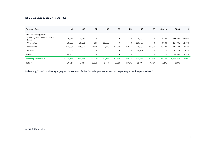#### Table 6 Exposure by country (in EUR '000)

| Exposure Class                            | <b>NL</b> | GB          | <b>DE</b> | <b>BE</b>   | ES     | <b>FR</b> | US          | <b>BR</b> | <b>Others</b> | Total     | %      |
|-------------------------------------------|-----------|-------------|-----------|-------------|--------|-----------|-------------|-----------|---------------|-----------|--------|
| Standardised Approach                     |           |             |           |             |        |           |             |           |               |           |        |
| - Central governments or central<br>banks | 730,318   | 2,846       | 0         | 0           | 0      | 0         | 6,997       | 0         | 1,233         | 741,393   | 39,96% |
| - Corporates                              | 73,397    | 21,051      | 331       | 11,536      | 0      | 0         | 125,797     | 0         | 4,984         | 237,096   | 12,78% |
| - Institutions                            | 101,084   | 140,821     | 40,899    | 20,940      | 57,615 | 45,056    | 228,087     | 83,309    | 29,323        | 747,134   | 40,27% |
| - Equities                                | $\Omega$  | $\mathbf 0$ | 0         | $\mathbf 0$ | 0      | 0         | 30,378      | 0         | $\mathbf 0$   | 30,378    | 1,64%  |
| - Other                                   | 99,357    | 0           | 0         | 0           | 0      | 0         | $\mathbf 0$ | 0         | 0             | 99,357    | 5,35%  |
| Total exposure value                      | 1,004,156 | 164,718     | 41,230    | 32,476      | 57,615 | 45,056    | 391,259     | 83,309    | 35,540        | 1,855,358 | 100%   |
| Total %                                   | 54,12%    | 8,88%       | 2,22%     | 1,75%       | 3,11%  | 2,43%     | 21.09%      | 4,49%     | 1,91%         | 100%      |        |

Additionally, Table 6 provides a geographical breakdown of Adyen's total exposures to credit risk separately for each exposure class.<sup>20</sup>

20 Art. 442(c-e) CRR.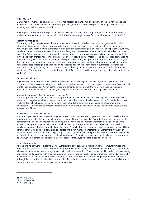#### Market risk

Market risk<sup>21</sup> comprises equity risk, interest rate risk, foreign-exchange risk and commodities risk. Adyen does not hold trading book items and has no commodity positions, therefore it is solely exposed to foreign-exchange risk resulting from its international operations.

Adyen applies the standardized approach in order to calculate its own funds requirements for market risk. Adyen's total risk exposure amount for market risk is EUR 180,852 resulting in an own funds requirement of EUR 14,468. $^{22}$ 

#### Foreign-exchange risk

The strengthening or weakening of the euro impacts the translation of Adyen's net revenues generated from its international operations that are denominated in foreign currencies, into the euro. Additionally, in connection with providing its services in multiple currencies, Adyen generally sets its foreign-exchange rates once per day. Adyen may face financial exposure as a result of fluctuations in foreign-exchange rates between the times that Adyen sets them. Given that Adyen also holds some merchants' and own funds in non-euro currencies, its financial results are affected by the translation of these non-euro currencies into euro. While Adyen has measures in place intended to manage its foreign-exchange risk, namely natural hedges and spot trades for any net open positions, no assurance can be given that fluctuations in foreign-exchange rates will nevertheless have a significant impact on Adyen's results of operations. Adyen is exposed to foreign-exchange risk on its assets and liabilities denominated in currencies other than the functional currency, including certain contract assets, its holding of Visa shares and the assets and liabilities of its subsidiaries. The majority of these assets through which Adyen is exposed to foreign currency risk are denominated in US dollar.

#### Operational risk

Adven recognizes that operational risks<sup>23</sup> are associated with achieving its business objectives. Operational risk concerns the risk of losses resulting from inadequate or failed internal processes, people and systems or from external events, including legal risk. Adyen has therefore implemented an internal control framework that is designed to manage the risks effectively and efficiently and to provide reasonable assurance that objectives can be met.

#### *Merchants' potential liability for shopper chargebacks*

When shoppers claim that a merchant has not performed, the issuing banks can file chargebacks. Adyen seeks to offset such chargebacks with the payouts to the merchants, but may not be able to succeed in full. While Adyen has implemented risk mitigation, including holding reserve funds from its merchants, based on assumptions and estimates that Adyen believes are reasonable to cover such eventualities, the measures, including the reserve funds, may not be sufficient.

#### *Availability of products and services*

Frequent or persistent interruptions in Adyen's services could cause current or potential merchants to believe that its systems are unreliable, leading them to switch to a competitor or to avoid Adyen's products and services, and could permanently harm Adyen's reputation and brand. Moreover, to the extent that any system failure or similar event results in damages to Adyen's merchants or their business partners, these merchants or partners could seek significant compensation or contractual penalties from Adyen for their losses, which, even if unsuccessful, could likely be time-consuming and costly for Adyen to address and divert management attention. Furthermore, frequent or persistent interruptions could lead to regulatory scrutiny, significant fines and penalties, and/or mandatory and costly changes to its business practices, and could ultimately cause Adyen to lose existing regulatory licenses or prevent or delay Adyen from obtaining additional regulatory licenses that Adyen needs to expand its business.

#### *Information security*

Adyen's and its partners' IT systems may be vulnerable to physical and electronic breaches, computer viruses and other attacks by cyber-criminals, internet fraudsters, employees or others, which could lead to, amongst other things, a leakage of merchants' data, damage related to incursions, destruction of documents, inability or delays in processing transactions and unauthorized transactions. Any real or perceived privacy breaches or improper use of, disclosure of, or access to such data could harm Adyen's reputation as a trusted brand in the handling and protection of this data. Although Adyen carries cyber liability insurance that Adyen believes to be reasonable to cover such eventualities, such insurance may not be sufficient to cover all potential losses.

21 Art. 445 CRR. 22 Art. 438(e) CRR. 23 Art. 446 CRR.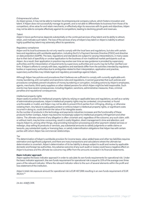#### *Entrepreneurial culture*

As Adyen grows, it may not be able to maintain its entrepreneurial company culture, which fosters innovation and talent. If Adyen does not successfully manage its growth, and is not able to differentiate its business from those of its competitors, drive value for and retain merchants, or effectively align its resources with its goals and objectives, Adyen may not be able to compete effectively against its competitors, leading to declining growth and revenues.

#### *Talent*

Adyen's future performance depends substantially on the continued services of key talent and its ability to attract, retain, and motivate such talent. The loss of the services of any of Adyen's key talent or Adyen's inability to attract highly qualified key talent may adversely affect its operations.

#### *Regulatory compliance*

Adyen and its local businesses do not only need to comply with the local laws and regulations, but also with certain laws and regulations with worldwide application, including the EU's Payment Services Directive (PSD2) and directive on data protection (GDPR). The laws, regulations and standards are subject to varying interpretations, in many cases due to their lack of specificity or unclear application to the business of non-traditional market participants such as Adyen. As a result, their application in practice may evolve over time as new guidance is provided by supervisory authorities and the interpretation of requirements by supervisory authorities and courts may be further clarified over time. If Adyen's efforts to comply with laws, regulations and standards differ from the activities intended by regulatory bodies or supervisory authorities due to ambiguities related to their interpretation, application and practice, supervisory authorities may initiate legal and regulatory proceedings against Adyen.

Although Adyen has policies and procedures that it believes are sufficient to comply with currently applicable antimoney laundering, anti-corruption and sanctions rules and regulations, it cannot guarantee that such policies and procedures completely prevent situations of money laundering or corruption, including actions by Adyen's employees, agents, merchants, third-party suppliers or other related persons for which Adyen might be held responsible. Such events may have severe consequences, including litigation, sanctions, administrative measures, fines, criminal penalties and reputational consequences.

#### *Intellectual property rights*

Adyen seeks to protect its intellectual property rights by relying on applicable laws and regulations, as well as a variety of administrative procedures. Adyen's intellectual property rights may be contested, circumvented, or found unenforceable or invalid, and Adyen may not be able to prevent third-parties from infringing, diluting, or otherwise violating them. Any failure to adequately protect or enforce Adyen's intellectual property rights, or significant costs incurred in doing so, could diminish the value of its intangible assets.

As the number of products in the technology and payments industries increases and the functionality of these products further overlaps, Adyen may become increasingly subject to intellectual property infringement and other claims. The ultimate outcome of any allegation is often uncertain and, regardless of the outcome, any such claim, with or without merit, may be time-consuming, result in costly litigation, divert management's time and attention, and require Adyen to, among other things, stop providing transaction processing and other payment-related services or redesign, stop selling its products or services, pay substantial amounts to satisfy judgments or settle claims or lawsuits, pay substantial royalty or licensing fees, or satisfy indemnification obligations that Adyen has with certain parties with whom Adyen has commercial relationships.

#### *Tax*

 $\overline{a}$ 

The determination of Adyen's worldwide provision for income taxes, value-added taxes and other tax liabilities requires estimation and significant judgment, and there are many transactions and calculations where the ultimate tax determination is uncertain. Adyen's determination of its tax liability is always subject to audit and review by applicable domestic and foreign tax authorities. Any adverse outcome of any such audit or review could have a negative effect on Adyen's business and the ultimate tax outcome may differ from the amounts recorded in its financial statements.

#### Basic indicator approach

Adyen applies the basic indicator approach in order to calculate its own funds requirements for operational risk. Under the basic indicator approach, the own funds requirement for operational risk is equal to 15% of the average over three years of the relevant indicator. Where the relevant indicator refers to the sum of several elements within the profit and loss statement of the institution.

Adyen's total risk exposure amount for operational risk is EUR 487,668 resulting in an own funds requirement of EUR 39,014. 24

24 Art. 438(f) CRR.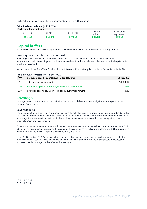Table 7 shows the build-up of the relevant indicator over the last three years.

| Table 7: relevant indicator (in EUR '000) |                |                |                       |                          |  |
|-------------------------------------------|----------------|----------------|-----------------------|--------------------------|--|
| Build-up relevant indicator               |                |                |                       |                          |  |
| $31 - 12 - 16$                            | $31 - 12 - 17$ | $31 - 12 - 18$ | Relevant<br>indicator | Own funds<br>requirement |  |
| 214.412                                   | 218,043        | 347.814        | 260,090               | 39,014                   |  |

### **Capital buffers**

In addition to a Pillar I and Pillar II requirement, Adyen is subject to the countercyclical buffer<sup>25</sup> requirement.

#### Geographical distribution of credit risk

Resulting from its international operations, Adyen has exposures to counterparties in several countries. The geographical distribution of Adyen's credit exposures relevant for the calculation of the countercyclical capital buffer are shown in Annex II.

As can be concluded from Table 8 below, the institution-specific countercyclical capital buffer for Adyen is 0.05%.

| Row | Institution-specific countercyclical capital buffer             | 31-Dec-18 |
|-----|-----------------------------------------------------------------|-----------|
| 010 | Total risk exposure amount                                      | 1.149.560 |
| 020 | Institution specific countercyclical capital buffer rate        | 0.05%     |
| 030 | Institution specific countercyclical capital buffer requirement | 520       |

#### **Leverage**

Leverage means the relative size of an institution's assets and off-balance sheet obligations as compared to the institution's own funds.

#### Leverage ratio

The leverage ratio<sup>26</sup> is a monitoring tool used to assess the risk of excessive leverage within institutions. It is defined as Tier 1 capital divided by a non-risk-based measure of the on- and off-balance sheet items. By restricting the build-up of leverage, the leverage ratio aims to avoid destabilizing deleveraging processes that can damage the broader financial system and the economy.

Currently, only a reporting requirement with respect to the leverage ratio applies. Within the amendments to the CRR, a binding 3% leverage ratio is proposed. It is expected these amendments will come into force mid-2019, whereas the binding 3% leverage ratio will apply two years after entry into force.

As per 31 December 2018, Adyen had a leverage ratio of 28%. Annex III provides detailed information on both the reconciliation between total assets as published in the financial statements and the total exposure measure, and processes used to manage the risk of excessive leverage.

25 Art. 440 CRR. 26 Art. 451 CRR.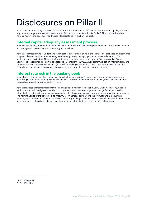## Disclosures on Pillar II

Pillar II sets out mandatory processes for institutions and supervisors to fulfill capital adequacy and liquidity adequacy requirements. Adyen combines the assessment of these requirements within its ICLAAP. This chapter describes Adyen's ICLAAP and specifically addresses interest rate risk in the banking book.

### **Internal capital adequacy assessment process**

Adyen has designed, implemented, maintains and monitors internal risk management and control systems to identify and manage risks associated with its strategy and activities.

Adyen uses stress testing to understand the impact of stress events on its overall risk profile. It is based on exceptional but plausible events with an adequate degree of severity. Stress testing is performed in accordance with EBA guidelines on stress testing. The results from stress tests are also used as an input for fine-tuning Adyen's risk appetite, risk capacity and risk limits as a feedback mechanism. In 2018, Adyen performed its first Internal Capital and Liquidity Adequacy Assessment Process (ICLAAP27) including stress testing. The assessment results showed that Adyen has a high financial shock absorption capacity and adequate levels of capital and liquidity.

### **Interest rate risk in the banking book**

Interest rate risk on financial instruments included in the banking book<sup>28</sup> could arise from adverse movements in underlying interest rates. Although significant liabilities towards the merchants are present, these liabilities are noninterest bearing and are settled at short notice.

Adyen is exposed to interest rate risk in the banking book in relation to its High-Quality Liquid Assets (HQLA): cash held at central banks and government bonds. However, cash balances of Adyen are not significantly exposed to interest rate risk due to the fact that cash is used to settle the current liabilities towards the merchants at short notice. The nominal values of the bonds held-to-maturity are minimal as compared to the overall financial instruments balance, are short-term in nature and are held-to-maturity leading to minimal interest rate risk. As a result of the nature of the products on the Adyen balance sheet the remaining interest rate risk is considered to be minimal.

<sup>27</sup> Art. 438(a) CRR. 28 Art. 448 CRR.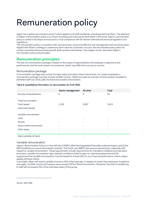## Remuneration policy

Adyen has a global remuneration policy<sup>29</sup> which applies to all staff worldwide, including board members. The objective of Adyen's remuneration policy is to ensure recruiting and retaining the best talent in the world. Adyen's remuneration policy is rooted in the Adyen formula and is in full compliance with all relevant international and local legislation and regulations.

The remuneration policy is consistent with, and promotes, sound and effective risk management and has always been aligned with Adyen's strategy to create long-term value for customers. As such, the remuneration policy does not contain incentives that exclusively benefit staff members themselves. This chapter further describes Adyen's remuneration policy and principles.

### **Remuneration principles**

The size of a remuneration package is based on the scope of responsibilities, the employee's experience and performance, and the local market circumstances, which may differ from country to country.

#### Remuneration package

A remuneration package may consist of a base salary and share-linked instruments. For certain employees a remuneration package may also include variable income. Table 9 provides an overview of remuneration awarded to identified staff over 2018, split into fixed and variable remuneration.

#### Table 9: quantitative information on remuneration (in EUR '000)

|                           | Senior management        | All other                | Total |
|---------------------------|--------------------------|--------------------------|-------|
| Number of beneficiaries   | 9                        | 9                        | 18    |
| Fixed remuneration        |                          |                          |       |
| Cash based                | 1,226                    | 2,687                    | 3,913 |
| Instrument based          | $\overline{\phantom{a}}$ | $\overline{\phantom{a}}$ | ۰     |
| Variable remuneration     |                          |                          |       |
| Cash                      |                          |                          |       |
| Shares                    |                          |                          |       |
| Share-linked instruments  |                          |                          |       |
| Other types               |                          |                          |       |
| Ratio (variable to fixed) |                          |                          |       |

#### Variable remuneration

Adyen's Remuneration Policy is in line with the (i) WBFO (Wet beloningsbeleid financiële ondernemingen), and (ii) the EBA Guidelines on sound remuneration policies. The Dutch Law WBFO sets various requirements, especially with respect to variable remuneration. These requirements include requirements for mandatory holdback and claw back provisions, variable remuneration caps, specials conditions linked to sign-on, severance payments and the requirement that variable remuneration must be based for at least 50% on non-financial performance criteria. Adyen applies all these criteria.

In principle, Adyen will restrict variable income to 20% of the base pay. In respect of certain key employees' exceptions may apply. Variable income will however never exceed 100% of fixed remuneration. Moreover, the total of variable pay to staff will not exceed 20% of the total base salary of this group.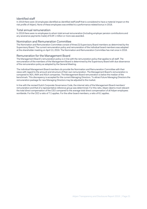#### Identified staff

In 2018 there were 18 employees identified as identified staff (staff that is considered to have a material impact on the risk profile of Adyen). None of these employees was entitled to a performance related bonus in 2018.

#### Total annual remuneration

In 2018 there were no employees to whom total annual remuneration (Including employer pension contributions and any severance payments made) of EUR 1 million or more was awarded.

#### Nomination and Remuneration Committee

The Nomination and Remuneration Committee consist of three (3) Supervisory Board members as determined by the Supervisory Board. The current remuneration policy and remuneration of the individual board members was adopted at the shareholder meeting on April 13, 2018. The Nomination and Remuneration Committee has met once in 2018.

#### Remuneration for the Management Board

The Management Board's remuneration policy is in line with the remuneration policy that applies to all staff. The remuneration of the members of the Management Board is determined by the Supervisory Board with due observance of the remuneration policy as adopted by the General Meeting.

The individual Management Board members do provide the Nomination and Remuneration Committee with their views with regard to the amount and structure of their own remuneration. The Management Board's remuneration is compared to AEX, AMX and AScX companies. The Management Board remuneration is below the median of the benchmark. This discrepancy is accepted for the current Managing Directors. To attract future Managing Directors the remuneration package for new Managing Directors may be adjusted to the market.

In line with the revised Dutch Corporate Governance Code, the internal ratio of the Management Board members' remuneration and that of a representative reference group was determined. For this ratio, Adyen deems most relevant the total direct compensation of the CEO compared to the average total direct compensation of all Adyen employees worldwide. For the CEO a ratio of 7:1 applies. For the other board members, a ratio of 6:1 applies.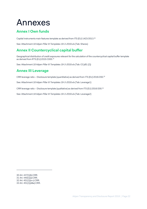## Annexes

## **Annex I Own funds**

Capital instruments main features template as derived from ITS (EU) 1423/2013.30

See: Attachment *18 Adyen Pillar III Templates 19-3-2019.xls* (Tab: Shares)

## **Annex II Countercyclical capital buffer**

Geographical distribution of credit exposures relevant for the calculation of the countercyclical capital buffer template as derived from RTS (EU) 2015/1555.31

See: Attachment *18 Adyen Pillar III Templates 19-3-2019.xls* (Tab: CCyB1 (2))

## **Annex III Leverage**

CRR leverage ratio – Disclosure template (quantitative) as derived from ITS (EU) 2016/200.32

See: Attachment *18 Adyen Pillar III Templates 19-3-2019.xls* (Tab: Leverage1)

CRR leverage ratio – Disclosure template (qualitative) as derived from ITS (EU) 2016/200.33

See: Attachment *18 Adyen Pillar III Templates 19-3-2019.xls* (Tab: Leverage2)

<sup>30</sup> Art. 437(1)(b) CRR.

 $31$  Art.  $440(1)(a)$  CRR.

<sup>32</sup> Art. 451(1)(a-c) CRR.

<sup>33</sup> Art. 451(1)(d&e) CRR.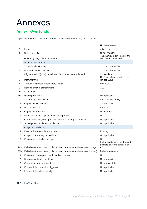## Annexes

## **Annex I Own funds**

Capital instruments main features template as derived from ITS (EU) 1423/2013.31

|                 |                                                                                | Ordinary shares                                                          |
|-----------------|--------------------------------------------------------------------------------|--------------------------------------------------------------------------|
| 1               | Issuer                                                                         | Adyen N.V.                                                               |
| 2               | Unique identifier                                                              | NL0012969182<br>The shares are governed by the                           |
| 3               | Governing law(s) of the instrument                                             | laws of the Netherlands                                                  |
|                 | Regulatory treatment                                                           |                                                                          |
| 4               | <b>Transitional CRR rules</b>                                                  | Common Equity Tier 1                                                     |
| 5               | Post-transitional CRR rules                                                    | Common Equity Tier 1                                                     |
| 6               | Eligible at solo / (sub-)consolidated / solo & (sub-)consolidated              | Consolidated<br>CET1 as published in the EBA                             |
| 7               | Instrument type                                                                | list (art. 26(3))                                                        |
| 8               | Amount recognised in regulatory capital                                        | 80,000,000                                                               |
| 9               | Nominal amount of instrument                                                   | 0.01                                                                     |
| 9a              | Issue price                                                                    | 240                                                                      |
| 9b              | Redemption price                                                               | Not applicable                                                           |
| 10              | Accounting classification                                                      | Shareholders' equity                                                     |
| 11              | Original date of issuance                                                      | 13 June 2018                                                             |
| 12              | Perpetual or dated                                                             | Perpetual                                                                |
| 13              | Original maturity date                                                         | No maturity                                                              |
| 14              | Issuer call subject to prior supervisory approval                              | <b>No</b>                                                                |
| 15              | Optional call date, contingent call dates and redemption amount                | Not applicable                                                           |
| 16              | Subseqeuent call dates, if applicable                                          | Not applicable                                                           |
|                 | Coupons / dividends                                                            |                                                                          |
| 17              | Fixed or floating dividend/coupon                                              | Floating                                                                 |
| 18              | Coupon rate and any related index                                              | Not applicable                                                           |
| 19              | Existence of a dividend stopper                                                | No<br>Fully discretionary - no dividend<br>pushers, dividend stoppers or |
| 20a             | Fully discretionary, partially discretionary or mandatory (in terms of timing) | <b>ACSM</b>                                                              |
| 20 <sub>b</sub> | Fully discretionary, partially discretionary or mandatory (in terms of amount) | Fully discretionary                                                      |
| 21              | Existence of step up or other incentive to redeem                              | No                                                                       |
| 22              | Non-cumulative or cumulative                                                   | Non-cumulative                                                           |
| 23              | Convertible or non-convertible                                                 | Non-convertible                                                          |
| 24              | If convertible, conversion trigger(s)                                          | Not applicable                                                           |
| 25              | If convertible, fully or partially                                             | Not applicable                                                           |
|                 |                                                                                |                                                                          |

31 Art. 437(1)(b) CRR.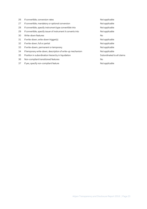| 26 | If convertible, conversion rates                              | Not applicable             |
|----|---------------------------------------------------------------|----------------------------|
| 27 | If convertible, mandatory or optional conversion              | Not applicable             |
| 28 | If convertible, specify instrument type convertible into      | Not applicable             |
| 29 | If convertible, specify issuer of instrument it converts into | Not applicable             |
| 30 | Write-down features                                           | No                         |
| 31 | If write-down, write-down trigger(s)                          | Not applicable             |
| 32 | If write-down, full or partial                                | Not applicable             |
| 33 | If write-dowm, permanent or temporary                         | Not applicable             |
| 34 | If temporary write-down, description of write-up mechanism    | Not applicable             |
| 35 | Position in subordination hierarchy in liquidation            | Subordinated to all claims |
| 36 | Non-compliant transitioned features                           | No                         |
| 37 | If yes, specify non-compliant feature                         | Not applicable             |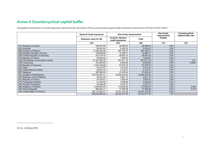## **Annex II Countercyclical capital buffer**

Geographical distribution of credit exposures relevant for the calculation of the countercyclical capital buffer template as derived from RTS (EU) 2015/1555.<sup>32</sup>

|                                         | <b>General Credit exposures</b><br>Own funds requirements |                                       | Own funds<br>requirements | Countercyclical<br>capital buffer rate |        |
|-----------------------------------------|-----------------------------------------------------------|---------------------------------------|---------------------------|----------------------------------------|--------|
|                                         | <b>Exposure value for SA</b>                              | of which: General<br>credit exposures | Total                     | weights                                |        |
|                                         | 010                                                       | 070                                   | 100                       | 110                                    | 120    |
| (AT) Republic of Austria                | 336,207.98                                                | 26,896.64                             | 26,896.64                 | 0.00                                   |        |
| (AU) Australia                          | 80,491.64                                                 | 6,439.33                              | 6,439.33                  | 0.00                                   |        |
| (BE) Kingdom of Belgium                 | 11,535,540.56                                             | 463,168.47                            | 463,168.47                | 0.02                                   |        |
| (CN) People's Republic of China         | 150,859.66                                                | 12,068.77                             | 12,068.77                 | 0.00                                   |        |
| (DE) Federal Republic of Germany        | 331,019.10                                                | 26,481.53                             | 26,481.53                 | 0.00                                   |        |
| (FI) Republic of Finland                | 20,635.42                                                 | 1.650.83                              | 1.650.83                  | 0.00                                   |        |
| (GB) Great Britain and Northern Ireland | 21,051,062.05                                             | 851,811.34                            | 851,811.34                | 0.03                                   | 0.01   |
| (HK) Hong Kong                          | 107,260.95                                                | 8,580.88                              | 8,580.88                  | 0.00                                   | 0.0063 |
| (ID) Republic of Indonesia              | .224,734.88                                               | 97,978.79                             | 97,978.79                 | 0.00                                   |        |
| $(JP)$ Japan                            | 43,418.97                                                 | 3,473.52                              | 3,473.52                  | 0.00                                   |        |
| (MX) United Mexican States              | 26,561.32                                                 | 2.124.91                              | 2.124.91                  | 0.00                                   |        |
| (MY) Malaysia                           | 397,880.54                                                | 31,830.44                             | 31,830.44                 | 0.00                                   |        |
| (NL) Kingdom of Netherlands             | 172,753,481.51                                            | 13,820,278.52                         | 13,820,278.52             | 0.53                                   |        |
| (PH) Republic of the Phillipines        | 49,014.24                                                 | 3,921.14                              | 3,921.14                  | 0.00                                   |        |
| (PL) Republic of Poland                 | 97,530.51                                                 | 7.802.44                              | 7,802.44                  | 0.00                                   |        |
| (PT) Portuguese Republic                | 41,324.93                                                 | 3,305.99                              | 3,305.99                  | 0.00                                   |        |
| (RU) Russian Federation                 | 38,446.28                                                 | 3,075.70                              | 3,075.70                  | 0.00                                   |        |
| (SE) Kingdom of Sweden                  | ,400,605.20                                               | 112,048.42                            | 112,048.42                | 0.00                                   | 0.020  |
| (SK) Slovak Repuplik                    | 969,462.21                                                | 77,556.98                             | 77,556.98                 | 0.00                                   | 0.013  |
| (US) United States of America           | 156,175,060.47                                            | 10,473,182.38                         | 10,473,182.38             | 0.40                                   |        |
|                                         | 366,830,598.42                                            | 26,033,677.00                         | 26,033,677.00             | 1.00                                   |        |

32 Art. 440(1)(a) CRR.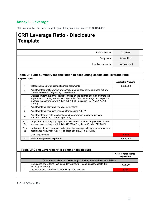## **Annex III Leverage**

CRR leverage ratio – Disclosure template (quantitative) as derived from ITS (EU) 2016/200.33

## **CRR Leverage Ratio - Disclosure Template**

| Reference date       | 12/31/18     |  |
|----------------------|--------------|--|
| Entity name          | Adyen N.V.   |  |
| Level of application | Consolidated |  |

#### **Table LRSum: Summary reconciliation of accounting assets and leverage ratio exposures**

|                |                                                                                                                                                                                                                                                         | <b>Applicable Amounts</b> |
|----------------|---------------------------------------------------------------------------------------------------------------------------------------------------------------------------------------------------------------------------------------------------------|---------------------------|
| 1.             | Total assets as per published financial statements                                                                                                                                                                                                      | 1,855,358                 |
| 2              | Adjustment for entities which are consolidated for accounting purposes but are<br>outside the scope of regulatory consolidation                                                                                                                         |                           |
| 3              | (Adjustment for fiduciary assets recognised on the balance sheet pursuant to the<br>applicable accounting framework but excluded from the leverage ratio exposure<br>measure in accordance with Article 429(13) of Regulation (EU) No 575/2013<br>"CRR" |                           |
| 4              | Adjustments for derivative financial instruments                                                                                                                                                                                                        |                           |
| 5              | Adjustments for securities financing transactions "SFTs"                                                                                                                                                                                                |                           |
| 6              | Adjustment for off-balance sheet items (ie conversion to credit equivalent<br>amounts of off-balance sheet exposures)                                                                                                                                   |                           |
| EU-<br>6а      | (Adjustment for intragroup exposures excluded from the leverage ratio exposure<br>measure in accordance with Article 429 (7) of Regulation (EU) No 575/2013)                                                                                            |                           |
| EU-<br>6b      | (Adjustment for exposures excluded from the leverage ratio exposure measure in<br>accordance with Article 429 (14) of Regulation (EU) No 575/2013)                                                                                                      |                           |
| $\overline{7}$ | Other adjustments                                                                                                                                                                                                                                       | $-6,954$                  |
| 8              | Total leverage ratio exposure                                                                                                                                                                                                                           | 1,848,403                 |

|                                                             | Table LRCom: Leverage ratio common disclosure |                                                                                                        |                                        |  |  |
|-------------------------------------------------------------|-----------------------------------------------|--------------------------------------------------------------------------------------------------------|----------------------------------------|--|--|
|                                                             |                                               |                                                                                                        | <b>CRR</b> leverage ratio<br>exposures |  |  |
| On-balance sheet exposures (excluding derivatives and SFTs) |                                               |                                                                                                        |                                        |  |  |
|                                                             |                                               | On-balance sheet items (excluding derivatives, SFTs and fiduciary assets, but<br>including collateral) | 1.855.358                              |  |  |
|                                                             | 2                                             | (Asset amounts deducted in determining Tier 1 capital)                                                 | -6.954                                 |  |  |

33 Art. 451(1)(a-c) CRR.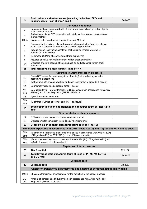| 3                                  | Total on-balance sheet exposures (excluding derivatives, SFTs and<br>fiduciary assets) (sum of lines 1 and 2)                                   | 1,848,403 |  |  |
|------------------------------------|-------------------------------------------------------------------------------------------------------------------------------------------------|-----------|--|--|
| <b>Derivative exposures</b>        |                                                                                                                                                 |           |  |  |
| 4                                  | Replacement cost associated with all derivatives transactions (ie net of eligible<br>cash variation margin)                                     |           |  |  |
| 5                                  | Add-on amounts for PFE associated with all derivatives transactions (mark-to-<br>market method)                                                 |           |  |  |
| EU-5a                              | Exposure determined under Original Exposure Method                                                                                              |           |  |  |
| 6                                  | Gross-up for derivatives collateral provided where deducted from the balance<br>sheet assets pursuant to the applicable accounting framework    |           |  |  |
| $\overline{7}$                     | (Deductions of receivables assets for cash variation margin provided in<br>derivatives transactions)                                            |           |  |  |
| 8                                  | (Exempted CCP leg of client-cleared trade exposures)                                                                                            |           |  |  |
| 9                                  | Adjusted effective notional amount of written credit derivatives                                                                                |           |  |  |
| 10                                 | (Adjusted effective notional offsets and add-on deductions for written credit<br>derivatives)                                                   |           |  |  |
| 11                                 | Total derivative exposures (sum of lines 4 to 10)                                                                                               |           |  |  |
|                                    | <b>Securities financing transaction exposures</b>                                                                                               |           |  |  |
| 12                                 | Gross SFT assets (with no recognition of netting), after adjusting for sales<br>accounting transactions                                         |           |  |  |
| 13                                 | (Netted amounts of cash payables and cash receivables of gross SFT assets)                                                                      |           |  |  |
| 14                                 | Counterparty credit risk exposure for SFT assets                                                                                                |           |  |  |
| EU-<br>14a                         | Derogation for SFTs: Counterparty credit risk exposure in accordance with Article<br>429b (4) and 222 of Regulation (EU) No 575/2013            |           |  |  |
| 15                                 | Agent transaction exposures                                                                                                                     |           |  |  |
| EU-<br>15a                         | (Exempted CCP leg of client-cleared SFT exposure)                                                                                               |           |  |  |
| 16                                 | Total securities financing transaction exposures (sum of lines 12 to<br>15a)                                                                    |           |  |  |
|                                    | Other off-balance sheet exposures                                                                                                               |           |  |  |
| 17                                 | Off-balance sheet exposures at gross notional amount                                                                                            |           |  |  |
| 18                                 | (Adjustments for conversion to credit equivalent amounts)                                                                                       |           |  |  |
| 19                                 | Other off-balance sheet exposures (sum of lines 17 to 18)                                                                                       |           |  |  |
|                                    | Exempted exposures in accordance with CRR Article 429 (7) and (14) (on and off balance sheet)                                                   |           |  |  |
| EU-<br>19a                         | (Exemption of intragroup exposures (solo basis) in accordance with Article 429(7)<br>of Regulation (EU) No 575/2013 (on and off balance sheet)) |           |  |  |
| EU-<br>19 <sub>b</sub>             | (Exposures exempted in accordance with Article 429 (14) of Regulation (EU) No<br>575/2013 (on and off balance sheet))                           |           |  |  |
| <b>Capital and total exposures</b> |                                                                                                                                                 |           |  |  |
| 20                                 | <b>Tier 1 capital</b>                                                                                                                           | 521,177   |  |  |
| 21                                 | Total leverage ratio exposures (sum of lines 3, 11, 16, 19, EU-19a<br>and EU-19b)                                                               | 1,848,403 |  |  |
| Leverage ratio                     |                                                                                                                                                 |           |  |  |
| 22                                 | Leverage ratio                                                                                                                                  | 28.20%    |  |  |
|                                    | Choice on transitional arrangements and amount of derecognised fiduciary items                                                                  |           |  |  |
| EU-23                              | Choice on transitional arrangements for the definition of the capital measure                                                                   |           |  |  |
| EU-<br>24                          | Amount of derecognised fiduciary items in accordance with Article 429(11) of<br>Regulation (EU) NO 575/2013                                     |           |  |  |